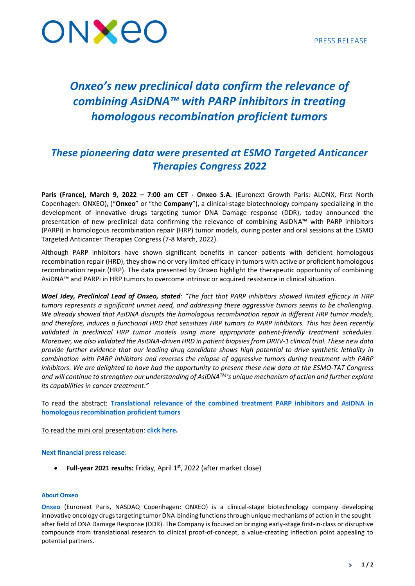

# *Onxeo's new preclinical data confirm the relevance of combining AsiDNA™ with PARP inhibitors in treating homologous recombination proficient tumors*

# *These pioneering data were presented at ESMO Targeted Anticancer Therapies Congress 2022*

**Paris (France), March 9, 2022 – 7:00 am CET - Onxeo S.A.** (Euronext Growth Paris: ALONX, First North Copenhagen: ONXEO), ("**Onxeo**" or "the **Company**"), a clinical-stage biotechnology company specializing in the development of innovative drugs targeting tumor DNA Damage response (DDR), today announced the presentation of new preclinical data confirming the relevance of combining AsiDNA™ with PARP inhibitors (PARPi) in homologous recombination repair (HRP) tumor models, during poster and oral sessions at the ESMO Targeted Anticancer Therapies Congress (7-8 March, 2022).

Although PARP inhibitors have shown significant benefits in cancer patients with deficient homologous recombination repair (HRD), they show no or very limited efficacy in tumors with active or proficient homologous recombination repair (HRP). The data presented by Onxeo highlight the therapeutic opportunity of combining AsiDNA™ and PARPi in HRP tumors to overcome intrinsic or acquired resistance in clinical situation.

*Wael Jdey, Preclinical Lead of Onxeo, stated: "The fact that PARP inhibitors showed limited efficacy in HRP tumors represents a significant unmet need, and addressing these aggressive tumors seems to be challenging. We already showed that AsiDNA disrupts the homologous recombination repair in different HRP tumor models, and therefore, induces a functional HRD that sensitizes HRP tumors to PARP inhibitors. This has been recently validated in preclinical HRP tumor models using more appropriate patient-friendly treatment schedules. Moreover, we also validated the AsiDNA-driven HRD in patient biopsies from DRIIV-1 clinical trial. These new data provide further evidence that our leading drug candidate shows high potential to drive synthetic lethality in combination with PARP inhibitors and reverses the relapse of aggressive tumors during treatment with PARP inhibitors. We are delighted to have had the opportunity to present these new data at the ESMO-TAT Congress and will continue to strengthen our understanding of AsiDNATM's unique mechanism of action and further explore its capabilities in cancer treatment*.*"*

To read the abstract: **[Translational relevance of the combined treatment PARP inhibitors and AsiDNA in](https://oncologypro.esmo.org/meeting-resources/esmo-targeted-anticancer-therapies-congress/translational-relevance-of-the-combined-treatment-parp-inhibitors-and-asidna-in-homologous-recombination-proficient-tumors)  [homologous recombination proficient tumors](https://oncologypro.esmo.org/meeting-resources/esmo-targeted-anticancer-therapies-congress/translational-relevance-of-the-combined-treatment-parp-inhibitors-and-asidna-in-homologous-recombination-proficient-tumors)**

To read the mini oral presentation: **[click here.](https://www.onxeo.com/wp-content/uploads/2022/03/esmo-tat-2022-mini-oral-wael-jdey.pdf)**

## **Next financial press release:**

• Full-year 2021 results: Friday, April 1<sup>st</sup>, 2022 (after market close)

#### **About Onxeo**

**Onxeo** (Euronext Paris, NASDAQ Copenhagen: ONXEO) is a clinical-stage biotechnology company developing innovative oncology drugs targeting tumor DNA-binding functions through unique mechanisms of action in the soughtafter field of DNA Damage Response (DDR). The Company is focused on bringing early-stage first-in-class or disruptive compounds from translational research to clinical proof-of-concept, a value-creating inflection point appealing to potential partners.